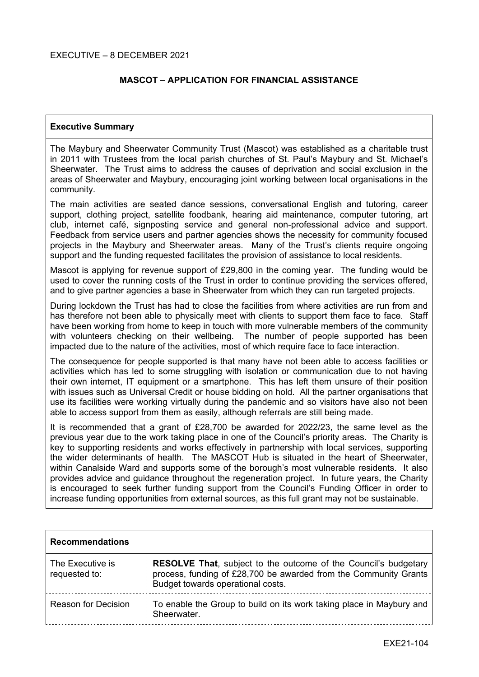## **MASCOT – APPLICATION FOR FINANCIAL ASSISTANCE**

#### **Executive Summary**

The Maybury and Sheerwater Community Trust (Mascot) was established as a charitable trust in 2011 with Trustees from the local parish churches of St. Paul's Maybury and St. Michael's Sheerwater. The Trust aims to address the causes of deprivation and social exclusion in the areas of Sheerwater and Maybury, encouraging joint working between local organisations in the community.

The main activities are seated dance sessions, conversational English and tutoring, career support, clothing project, satellite foodbank, hearing aid maintenance, computer tutoring, art club, internet café, signposting service and general non-professional advice and support. Feedback from service users and partner agencies shows the necessity for community focused projects in the Maybury and Sheerwater areas. Many of the Trust's clients require ongoing support and the funding requested facilitates the provision of assistance to local residents.

Mascot is applying for revenue support of £29,800 in the coming year. The funding would be used to cover the running costs of the Trust in order to continue providing the services offered, and to give partner agencies a base in Sheerwater from which they can run targeted projects.

During lockdown the Trust has had to close the facilities from where activities are run from and has therefore not been able to physically meet with clients to support them face to face. Staff have been working from home to keep in touch with more vulnerable members of the community with volunteers checking on their wellbeing. The number of people supported has been impacted due to the nature of the activities, most of which require face to face interaction.

The consequence for people supported is that many have not been able to access facilities or activities which has led to some struggling with isolation or communication due to not having their own internet, IT equipment or a smartphone. This has left them unsure of their position with issues such as Universal Credit or house bidding on hold. All the partner organisations that use its facilities were working virtually during the pandemic and so visitors have also not been able to access support from them as easily, although referrals are still being made.

It is recommended that a grant of £28,700 be awarded for 2022/23, the same level as the previous year due to the work taking place in one of the Council's priority areas. The Charity is key to supporting residents and works effectively in partnership with local services, supporting the wider determinants of health. The MASCOT Hub is situated in the heart of Sheerwater, within Canalside Ward and supports some of the borough's most vulnerable residents. It also provides advice and guidance throughout the regeneration project. In future years, the Charity is encouraged to seek further funding support from the Council's Funding Officer in order to increase funding opportunities from external sources, as this full grant may not be sustainable.

| <b>Recommendations</b>            |                                                                                                                                                                                 |
|-----------------------------------|---------------------------------------------------------------------------------------------------------------------------------------------------------------------------------|
| The Executive is<br>requested to: | <b>RESOLVE That, subject to the outcome of the Council's budgetary</b><br>process, funding of £28,700 be awarded from the Community Grants<br>Budget towards operational costs. |
| <b>Reason for Decision</b>        | To enable the Group to build on its work taking place in Maybury and<br>Sheerwater.                                                                                             |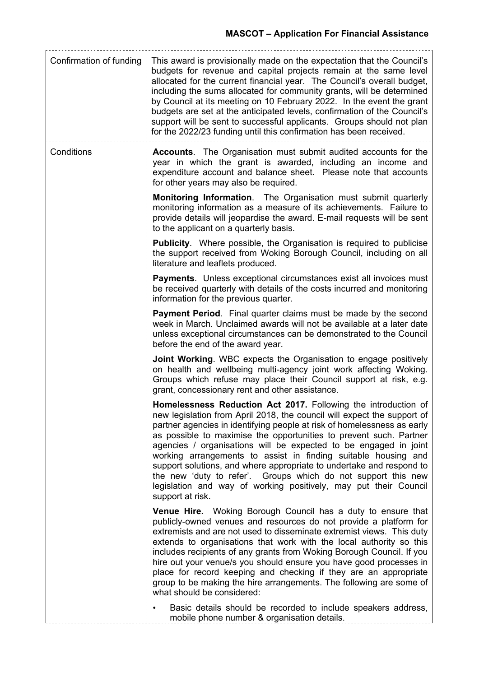| Confirmation of funding | This award is provisionally made on the expectation that the Council's<br>budgets for revenue and capital projects remain at the same level<br>allocated for the current financial year. The Council's overall budget,<br>including the sums allocated for community grants, will be determined<br>by Council at its meeting on 10 February 2022. In the event the grant<br>budgets are set at the anticipated levels, confirmation of the Council's<br>support will be sent to successful applicants. Groups should not plan<br>for the 2022/23 funding until this confirmation has been received.                                                               |
|-------------------------|-------------------------------------------------------------------------------------------------------------------------------------------------------------------------------------------------------------------------------------------------------------------------------------------------------------------------------------------------------------------------------------------------------------------------------------------------------------------------------------------------------------------------------------------------------------------------------------------------------------------------------------------------------------------|
| Conditions              | <b>Accounts.</b> The Organisation must submit audited accounts for the<br>year in which the grant is awarded, including an income and<br>expenditure account and balance sheet. Please note that accounts<br>for other years may also be required.                                                                                                                                                                                                                                                                                                                                                                                                                |
|                         | <b>Monitoring Information.</b> The Organisation must submit quarterly<br>monitoring information as a measure of its achievements. Failure to<br>provide details will jeopardise the award. E-mail requests will be sent<br>to the applicant on a quarterly basis.                                                                                                                                                                                                                                                                                                                                                                                                 |
|                         | <b>Publicity.</b> Where possible, the Organisation is required to publicise<br>the support received from Woking Borough Council, including on all<br>literature and leaflets produced.                                                                                                                                                                                                                                                                                                                                                                                                                                                                            |
|                         | <b>Payments.</b> Unless exceptional circumstances exist all invoices must<br>be received quarterly with details of the costs incurred and monitoring<br>information for the previous quarter.                                                                                                                                                                                                                                                                                                                                                                                                                                                                     |
|                         | <b>Payment Period.</b> Final quarter claims must be made by the second<br>week in March. Unclaimed awards will not be available at a later date<br>unless exceptional circumstances can be demonstrated to the Council<br>before the end of the award year.                                                                                                                                                                                                                                                                                                                                                                                                       |
|                         | <b>Joint Working.</b> WBC expects the Organisation to engage positively<br>on health and wellbeing multi-agency joint work affecting Woking.<br>Groups which refuse may place their Council support at risk, e.g.<br>grant, concessionary rent and other assistance.                                                                                                                                                                                                                                                                                                                                                                                              |
|                         | Homelessness Reduction Act 2017. Following the introduction of<br>new legislation from April 2018, the council will expect the support of<br>partner agencies in identifying people at risk of homelessness as early<br>as possible to maximise the opportunities to prevent such. Partner<br>agencies / organisations will be expected to be engaged in joint<br>working arrangements to assist in finding suitable housing and<br>support solutions, and where appropriate to undertake and respond to<br>the new 'duty to refer'. Groups which do not support this new<br>legislation and way of working positively, may put their Council<br>support at risk. |
|                         | <b>Venue Hire.</b> Woking Borough Council has a duty to ensure that<br>publicly-owned venues and resources do not provide a platform for<br>extremists and are not used to disseminate extremist views. This duty<br>extends to organisations that work with the local authority so this<br>includes recipients of any grants from Woking Borough Council. If you<br>hire out your venue/s you should ensure you have good processes in<br>place for record keeping and checking if they are an appropriate<br>group to be making the hire arrangements. The following are some of<br>what should be considered:                                                  |
|                         | Basic details should be recorded to include speakers address,<br>mobile phone number & organisation details.                                                                                                                                                                                                                                                                                                                                                                                                                                                                                                                                                      |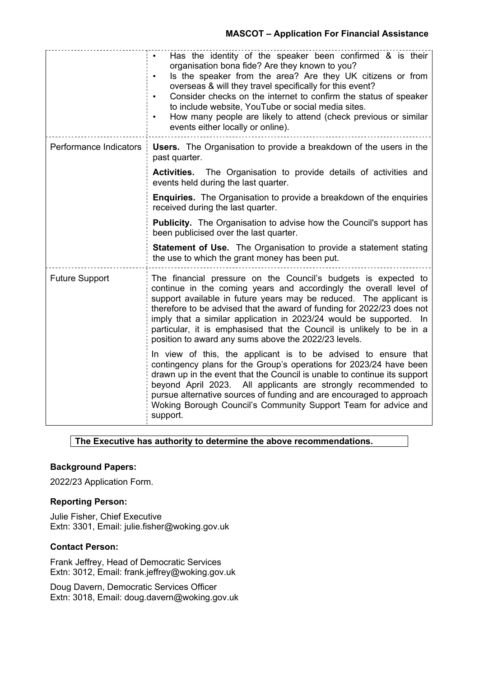## **MASCOT – Application For Financial Assistance**

|                        | Has the identity of the speaker been confirmed & is their<br>organisation bona fide? Are they known to you?<br>Is the speaker from the area? Are they UK citizens or from<br>overseas & will they travel specifically for this event?<br>Consider checks on the internet to confirm the status of speaker<br>$\bullet$<br>to include website, YouTube or social media sites.<br>How many people are likely to attend (check previous or similar<br>events either locally or online).      |  |
|------------------------|-------------------------------------------------------------------------------------------------------------------------------------------------------------------------------------------------------------------------------------------------------------------------------------------------------------------------------------------------------------------------------------------------------------------------------------------------------------------------------------------|--|
| Performance Indicators | <b>Users.</b> The Organisation to provide a breakdown of the users in the<br>past quarter.                                                                                                                                                                                                                                                                                                                                                                                                |  |
|                        | Activities. The Organisation to provide details of activities and<br>events held during the last quarter.                                                                                                                                                                                                                                                                                                                                                                                 |  |
|                        | <b>Enquiries.</b> The Organisation to provide a breakdown of the enquiries<br>received during the last quarter.                                                                                                                                                                                                                                                                                                                                                                           |  |
|                        | <b>Publicity.</b> The Organisation to advise how the Council's support has<br>been publicised over the last quarter.                                                                                                                                                                                                                                                                                                                                                                      |  |
|                        | <b>Statement of Use.</b> The Organisation to provide a statement stating<br>the use to which the grant money has been put.                                                                                                                                                                                                                                                                                                                                                                |  |
| <b>Future Support</b>  | The financial pressure on the Council's budgets is expected to<br>continue in the coming years and accordingly the overall level of<br>support available in future years may be reduced. The applicant is<br>therefore to be advised that the award of funding for 2022/23 does not<br>imply that a similar application in 2023/24 would be supported. In<br>particular, it is emphasised that the Council is unlikely to be in a<br>position to award any sums above the 2022/23 levels. |  |
|                        | In view of this, the applicant is to be advised to ensure that<br>contingency plans for the Group's operations for 2023/24 have been<br>drawn up in the event that the Council is unable to continue its support<br>beyond April 2023. All applicants are strongly recommended to<br>pursue alternative sources of funding and are encouraged to approach<br>Woking Borough Council's Community Support Team for advice and<br>support.                                                   |  |

## **The Executive has authority to determine the above recommendations.**

#### **Background Papers:**

2022/23 Application Form.

#### **Reporting Person:**

Julie Fisher, Chief Executive Extn: 3301, Email: julie.fisher@woking.gov.uk

## **Contact Person:**

Frank Jeffrey, Head of Democratic Services Extn: 3012, Email: frank.jeffrey@woking.gov.uk

Doug Davern, Democratic Services Officer Extn: 3018, Email: doug.davern@woking.gov.uk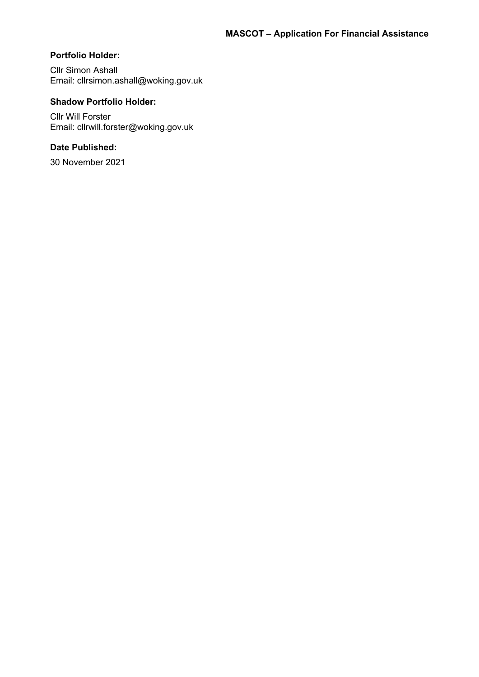# **Portfolio Holder:**

Cllr Simon Ashall Email: cllrsimon.ashall@woking.gov.uk

## **Shadow Portfolio Holder:**

Cllr Will Forster Email: cllrwill.forster@woking.gov.uk

## **Date Published:**

30 November 2021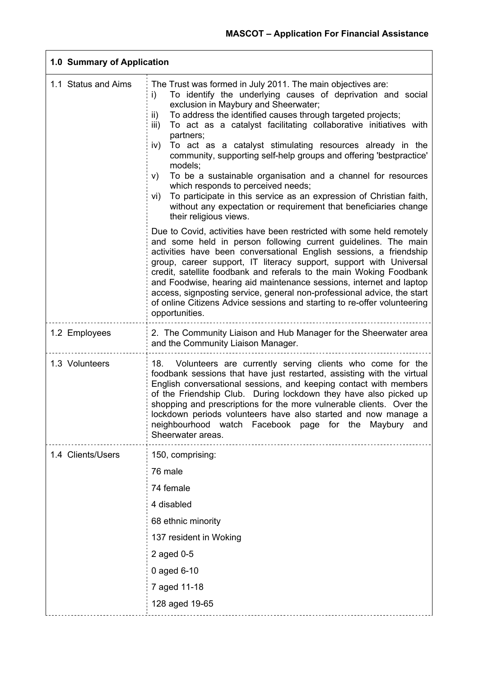| 1.0 Summary of Application |                                                                                                                                                                                                                                                                                                                                                                                                                                                                                                                                                                                                                                                                                                                                                                                      |
|----------------------------|--------------------------------------------------------------------------------------------------------------------------------------------------------------------------------------------------------------------------------------------------------------------------------------------------------------------------------------------------------------------------------------------------------------------------------------------------------------------------------------------------------------------------------------------------------------------------------------------------------------------------------------------------------------------------------------------------------------------------------------------------------------------------------------|
| 1.1 Status and Aims        | The Trust was formed in July 2011. The main objectives are:<br>To identify the underlying causes of deprivation and social<br>i)<br>exclusion in Maybury and Sheerwater;<br>To address the identified causes through targeted projects;<br>ii)<br>To act as a catalyst facilitating collaborative initiatives with<br>iii)<br>partners;<br>To act as a catalyst stimulating resources already in the<br>iv)<br>community, supporting self-help groups and offering 'bestpractice'<br>models;<br>To be a sustainable organisation and a channel for resources<br>V)<br>which responds to perceived needs;<br>To participate in this service as an expression of Christian faith,<br>vi)<br>without any expectation or requirement that beneficiaries change<br>their religious views. |
|                            | Due to Covid, activities have been restricted with some held remotely<br>and some held in person following current guidelines. The main<br>activities have been conversational English sessions, a friendship<br>group, career support, IT literacy support, support with Universal<br>credit, satellite foodbank and referals to the main Woking Foodbank<br>and Foodwise, hearing aid maintenance sessions, internet and laptop<br>access, signposting service, general non-professional advice, the start<br>of online Citizens Advice sessions and starting to re-offer volunteering<br>opportunities.                                                                                                                                                                           |
| 1.2 Employees              | 2. The Community Liaison and Hub Manager for the Sheerwater area<br>and the Community Liaison Manager.                                                                                                                                                                                                                                                                                                                                                                                                                                                                                                                                                                                                                                                                               |
| 1.3 Volunteers             | 18. Volunteers are currently serving clients who come for the<br>foodbank sessions that have just restarted, assisting with the virtual<br>English conversational sessions, and keeping contact with members<br>of the Friendship Club. During lockdown they have also picked up<br>shopping and prescriptions for the more vulnerable clients. Over the<br>lockdown periods volunteers have also started and now manage a<br>neighbourhood watch Facebook page for the Maybury and<br>Sheerwater areas.                                                                                                                                                                                                                                                                             |
| 1.4 Clients/Users          | 150, comprising:<br>76 male<br>74 female<br>4 disabled<br>68 ethnic minority<br>137 resident in Woking<br>2 aged 0-5<br>0 aged 6-10<br>7 aged 11-18<br>128 aged 19-65                                                                                                                                                                                                                                                                                                                                                                                                                                                                                                                                                                                                                |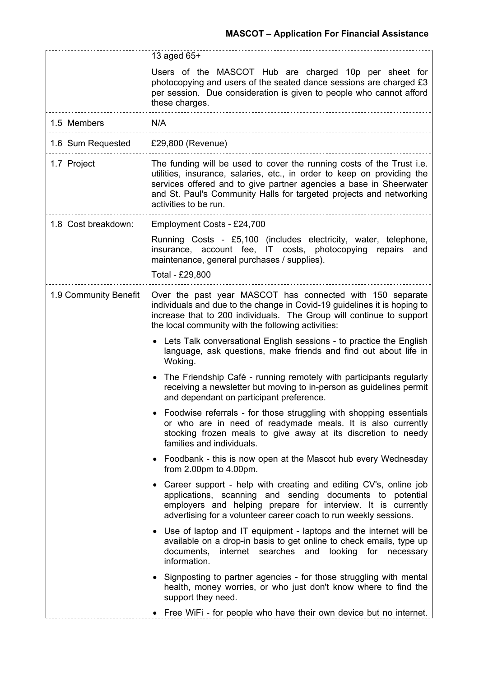|                       | 13 aged 65+                                                                                                                                                                                                                                                                                                                   |  |
|-----------------------|-------------------------------------------------------------------------------------------------------------------------------------------------------------------------------------------------------------------------------------------------------------------------------------------------------------------------------|--|
|                       | Users of the MASCOT Hub are charged 10p per sheet for<br>photocopying and users of the seated dance sessions are charged £3<br>per session. Due consideration is given to people who cannot afford<br>these charges.                                                                                                          |  |
| 1.5 Members           | N/A                                                                                                                                                                                                                                                                                                                           |  |
| 1.6 Sum Requested     | £29,800 (Revenue)                                                                                                                                                                                                                                                                                                             |  |
| 1.7 Project           | The funding will be used to cover the running costs of the Trust <i>i.e.</i><br>utilities, insurance, salaries, etc., in order to keep on providing the<br>services offered and to give partner agencies a base in Sheerwater<br>and St. Paul's Community Halls for targeted projects and networking<br>activities to be run. |  |
| 1.8 Cost breakdown:   | Employment Costs - £24,700                                                                                                                                                                                                                                                                                                    |  |
|                       | Running Costs - £5,100 (includes electricity, water, telephone,<br>insurance, account fee, IT costs, photocopying repairs<br>and<br>maintenance, general purchases / supplies).<br>Total - £29,800                                                                                                                            |  |
| 1.9 Community Benefit | Over the past year MASCOT has connected with 150 separate<br>individuals and due to the change in Covid-19 guidelines it is hoping to<br>increase that to 200 individuals. The Group will continue to support<br>the local community with the following activities:                                                           |  |
|                       | • Lets Talk conversational English sessions - to practice the English<br>language, ask questions, make friends and find out about life in<br>Woking.                                                                                                                                                                          |  |
|                       | The Friendship Café - running remotely with participants regularly<br>receiving a newsletter but moving to in-person as guidelines permit<br>and dependant on participant preference.                                                                                                                                         |  |
|                       | Foodwise referrals - for those struggling with shopping essentials<br>or who are in need of readymade meals. It is also currently<br>stocking frozen meals to give away at its discretion to needy<br>families and individuals.                                                                                               |  |
|                       | • Foodbank - this is now open at the Mascot hub every Wednesday<br>from $2.00 \text{pm}$ to $4.00 \text{pm}$ .                                                                                                                                                                                                                |  |
|                       | Career support - help with creating and editing CV's, online job<br>applications, scanning and sending documents to potential<br>employers and helping prepare for interview. It is currently<br>advertising for a volunteer career coach to run weekly sessions.                                                             |  |
|                       | • Use of laptop and IT equipment - laptops and the internet will be<br>available on a drop-in basis to get online to check emails, type up<br>documents,<br>internet searches and looking for necessary<br>information.                                                                                                       |  |
|                       | • Signposting to partner agencies - for those struggling with mental<br>health, money worries, or who just don't know where to find the<br>support they need.                                                                                                                                                                 |  |
|                       | • Free WiFi - for people who have their own device but no internet.                                                                                                                                                                                                                                                           |  |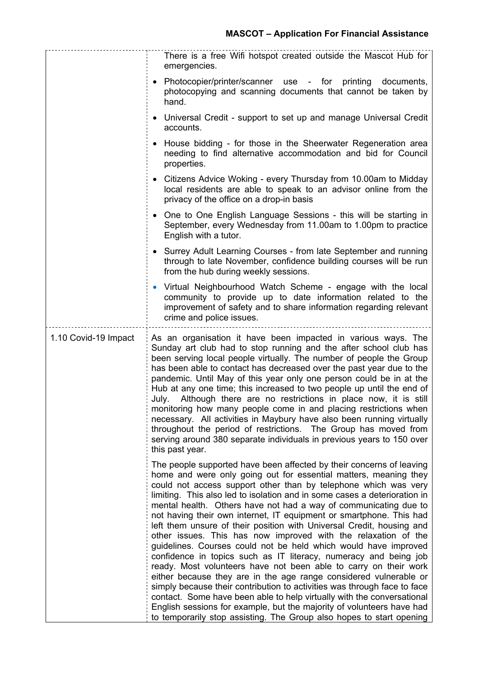|                      | There is a free Wifi hotspot created outside the Mascot Hub for<br>emergencies.                                                                                                                                                                                                                                                                                                                                                                                                                                                                                                                                                                                                                                                                                                                                                                                                                                                                                                                                                                                                                                                                                       |
|----------------------|-----------------------------------------------------------------------------------------------------------------------------------------------------------------------------------------------------------------------------------------------------------------------------------------------------------------------------------------------------------------------------------------------------------------------------------------------------------------------------------------------------------------------------------------------------------------------------------------------------------------------------------------------------------------------------------------------------------------------------------------------------------------------------------------------------------------------------------------------------------------------------------------------------------------------------------------------------------------------------------------------------------------------------------------------------------------------------------------------------------------------------------------------------------------------|
|                      | • Photocopier/printer/scanner use - for printing documents,<br>photocopying and scanning documents that cannot be taken by<br>hand.                                                                                                                                                                                                                                                                                                                                                                                                                                                                                                                                                                                                                                                                                                                                                                                                                                                                                                                                                                                                                                   |
|                      | • Universal Credit - support to set up and manage Universal Credit<br>accounts.                                                                                                                                                                                                                                                                                                                                                                                                                                                                                                                                                                                                                                                                                                                                                                                                                                                                                                                                                                                                                                                                                       |
|                      | • House bidding - for those in the Sheerwater Regeneration area<br>needing to find alternative accommodation and bid for Council<br>properties.                                                                                                                                                                                                                                                                                                                                                                                                                                                                                                                                                                                                                                                                                                                                                                                                                                                                                                                                                                                                                       |
|                      | • Citizens Advice Woking - every Thursday from 10.00am to Midday<br>local residents are able to speak to an advisor online from the<br>privacy of the office on a drop-in basis                                                                                                                                                                                                                                                                                                                                                                                                                                                                                                                                                                                                                                                                                                                                                                                                                                                                                                                                                                                       |
|                      | • One to One English Language Sessions - this will be starting in<br>September, every Wednesday from 11.00am to 1.00pm to practice<br>English with a tutor.                                                                                                                                                                                                                                                                                                                                                                                                                                                                                                                                                                                                                                                                                                                                                                                                                                                                                                                                                                                                           |
|                      | • Surrey Adult Learning Courses - from late September and running<br>through to late November, confidence building courses will be run<br>from the hub during weekly sessions.                                                                                                                                                                                                                                                                                                                                                                                                                                                                                                                                                                                                                                                                                                                                                                                                                                                                                                                                                                                        |
|                      | • Virtual Neighbourhood Watch Scheme - engage with the local<br>community to provide up to date information related to the<br>improvement of safety and to share information regarding relevant<br>crime and police issues.                                                                                                                                                                                                                                                                                                                                                                                                                                                                                                                                                                                                                                                                                                                                                                                                                                                                                                                                           |
| 1.10 Covid-19 Impact | As an organisation it have been impacted in various ways. The<br>Sunday art club had to stop running and the after school club has<br>been serving local people virtually. The number of people the Group<br>has been able to contact has decreased over the past year due to the<br>pandemic. Until May of this year only one person could be in at the<br>Hub at any one time; this increased to two people up until the end of<br>July. Although there are no restrictions in place now, it is still<br>monitoring how many people come in and placing restrictions when<br>necessary. All activities in Maybury have also been running virtually<br>throughout the period of restrictions. The Group has moved from<br>serving around 380 separate individuals in previous years to 150 over<br>this past year.                                                                                                                                                                                                                                                                                                                                                   |
|                      | The people supported have been affected by their concerns of leaving<br>home and were only going out for essential matters, meaning they<br>could not access support other than by telephone which was very<br>limiting. This also led to isolation and in some cases a deterioration in<br>mental health. Others have not had a way of communicating due to<br>not having their own internet, IT equipment or smartphone. This had<br>left them unsure of their position with Universal Credit, housing and<br>other issues. This has now improved with the relaxation of the<br>guidelines. Courses could not be held which would have improved<br>confidence in topics such as IT literacy, numeracy and being job<br>ready. Most volunteers have not been able to carry on their work<br>either because they are in the age range considered vulnerable or<br>simply because their contribution to activities was through face to face<br>contact. Some have been able to help virtually with the conversational<br>English sessions for example, but the majority of volunteers have had<br>to temporarily stop assisting. The Group also hopes to start opening |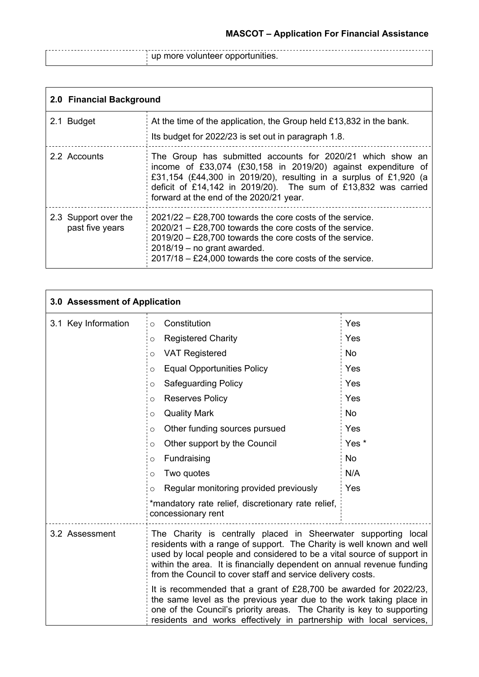|<br>| up more volunteer opportunities.

| 2.0 Financial Background                |                                                                                                                                                                                                                                                                                                               |
|-----------------------------------------|---------------------------------------------------------------------------------------------------------------------------------------------------------------------------------------------------------------------------------------------------------------------------------------------------------------|
| 2.1 Budget                              | At the time of the application, the Group held £13,832 in the bank.<br>Its budget for 2022/23 is set out in paragraph 1.8.                                                                                                                                                                                    |
| 2.2 Accounts                            | The Group has submitted accounts for 2020/21 which show an<br>income of £33,074 (£30,158 in 2019/20) against expenditure of<br>£31,154 (£44,300 in 2019/20), resulting in a surplus of £1,920 (a<br>deficit of £14,142 in 2019/20). The sum of £13,832 was carried<br>forward at the end of the 2020/21 year. |
| 2.3 Support over the<br>past five years | $2021/22 - E28,700$ towards the core costs of the service.<br>$2020/21 - \text{\textsterling}28,700$ towards the core costs of the service.<br>$2019/20 - £28,700$ towards the core costs of the service.<br>$2018/19$ – no grant awarded.<br>$2017/18 - £24,000$ towards the core costs of the service.      |

| 3.0 Assessment of Application |                                                                                                                                                                                                                                                                                                                                                            |           |
|-------------------------------|------------------------------------------------------------------------------------------------------------------------------------------------------------------------------------------------------------------------------------------------------------------------------------------------------------------------------------------------------------|-----------|
| 3.1 Key Information           | Constitution<br>$\circ$                                                                                                                                                                                                                                                                                                                                    | Yes       |
|                               | <b>Registered Charity</b><br>$\circ$                                                                                                                                                                                                                                                                                                                       | Yes       |
|                               | <b>VAT Registered</b><br>$\circ$                                                                                                                                                                                                                                                                                                                           | <b>No</b> |
|                               | <b>Equal Opportunities Policy</b><br>$\circ$                                                                                                                                                                                                                                                                                                               | Yes       |
|                               | <b>Safeguarding Policy</b><br>O                                                                                                                                                                                                                                                                                                                            | Yes       |
|                               | <b>Reserves Policy</b><br>$\circ$                                                                                                                                                                                                                                                                                                                          | Yes       |
|                               | <b>Quality Mark</b><br>$\circ$                                                                                                                                                                                                                                                                                                                             | <b>No</b> |
|                               | Other funding sources pursued<br>$\circ$                                                                                                                                                                                                                                                                                                                   | Yes       |
|                               | Other support by the Council<br>$\circ$                                                                                                                                                                                                                                                                                                                    | Yes *     |
|                               | Fundraising<br>$\circ$                                                                                                                                                                                                                                                                                                                                     | <b>No</b> |
|                               | Two quotes<br>$\circ$                                                                                                                                                                                                                                                                                                                                      | N/A       |
|                               | Regular monitoring provided previously<br>$\circ$                                                                                                                                                                                                                                                                                                          | Yes       |
|                               | *mandatory rate relief, discretionary rate relief,<br>concessionary rent                                                                                                                                                                                                                                                                                   |           |
| 3.2 Assessment                | The Charity is centrally placed in Sheerwater supporting local<br>residents with a range of support. The Charity is well known and well<br>used by local people and considered to be a vital source of support in<br>within the area. It is financially dependent on annual revenue funding<br>from the Council to cover staff and service delivery costs. |           |
|                               | It is recommended that a grant of £28,700 be awarded for 2022/23,<br>the same level as the previous year due to the work taking place in<br>one of the Council's priority areas. The Charity is key to supporting<br>residents and works effectively in partnership with local services,                                                                   |           |